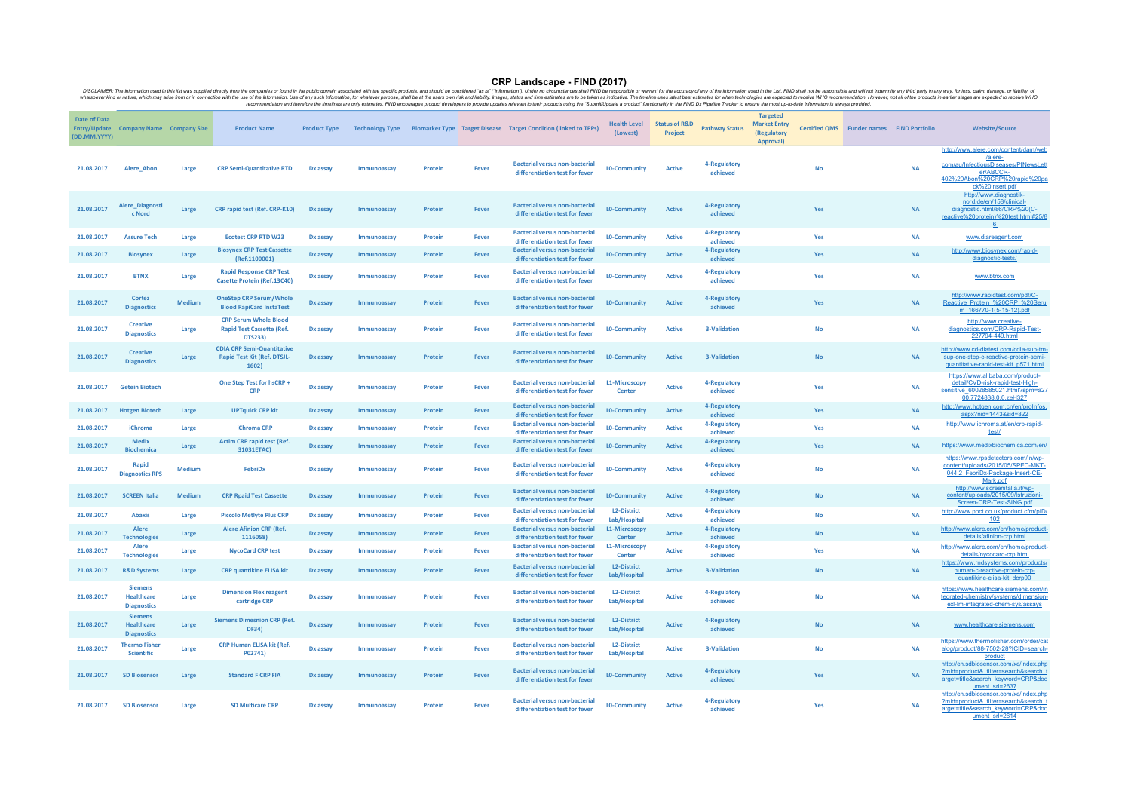CRP Landscape - FIND (2017) DISCLAIMER: The Information used in this list was supplied directly from the companies or found in the public domain associated with the specific products, and should be considered "as is" ("Information"). Under no circumstances shall FIND be responsible or warrant for the accuracy of any of the Information used in the List. FIND shall not be responsible and will not indemnify any third party in any way, for loss, claim, damage, or liability, of whatsoever kind or nature, which may arise from or in connection with the use of the Information. Use of any such Information, for whatever purpose, shall be at the users own risk and liability. Images, status and time estimates are to be taken as indicative. The timeline uses latest best estimates for when technologies are expected to receive WHO recommendation. However, not all of the products in earlier stages are expected to receive WHO recommendation and therefore the timelines are only estimates. FIND encourages product developers to provide updates relevant to their products using the "Submit/Update a product" functionality in the FIND Dx Pipeline Tracker to ensure the most up-to-date Information is always provided.

| Date of Data<br>(DD.MM.YYYY) | Entry/Update Company Name Company Size                    |               | <b>Product Name</b>                                                                | <b>Product Type</b> |             |         |              | Technology Type Biomarker Type Target Disease Target Condition (linked to TPPs) | <b>Health Level</b><br>(Lowest)    | <b>Status of R&amp;D</b><br>Project | <b>Pathway Status</b>    | <b>Targeted</b><br><b>Market Entry</b><br>(Regulatory<br>Approval) |           | <b>Certified QMS</b> Funder names FIND Portfolio |           | <b>Website/Source</b>                                                                                                                                    |
|------------------------------|-----------------------------------------------------------|---------------|------------------------------------------------------------------------------------|---------------------|-------------|---------|--------------|---------------------------------------------------------------------------------|------------------------------------|-------------------------------------|--------------------------|--------------------------------------------------------------------|-----------|--------------------------------------------------|-----------|----------------------------------------------------------------------------------------------------------------------------------------------------------|
| 21.08.2017                   | Alere Abon                                                | Large         | <b>CRP Semi-Quantitative RTD</b>                                                   | Dx assay            | Immunoassay | Protein | Fever        | <b>Bacterial versus non-bacterial</b><br>differentiation test for fever         | <b>LO-Community</b>                | <b>Active</b>                       | 4-Regulatory<br>achieved |                                                                    | <b>No</b> |                                                  | <b>NA</b> | http://www.alere.com/content/dam/web<br>/alere-<br>com/au/InfectiousDiseases/PINewsLett<br>er/ABCCR-<br>402%20Abon%20CRP%20rapid%20pa<br>ck%20insert.pdf |
| 21.08.2017                   | Alere_Diagnosti<br>c Nord                                 | Large         | CRP rapid test (Ref. CRP-K10)                                                      | Dx assay            | Immunoassay | Protein | <b>Fever</b> | <b>Bacterial versus non-bacterial</b><br>differentiation test for fever         | <b>LO-Community</b>                | <b>Active</b>                       | 4-Regulatory<br>achieved |                                                                    | Yes       |                                                  | <b>NA</b> | http://www.diagnostik-<br>nord.de/en/158/clinical-<br>diagnostic.html/86/CRP%20(C-<br>reactive%20protein)%20test.html#25/8                               |
| 21.08.2017                   | <b>Assure Tech</b>                                        | Large         | <b>Ecotest CRP RTD W23</b>                                                         | Dx assay            | Immunoassay | Protein | Fever        | <b>Bacterial versus non-bacterial</b><br>differentiation test for fever         | <b>LO-Community</b>                | <b>Active</b>                       | 4-Regulatory<br>achieved |                                                                    | Yes       |                                                  | <b>NA</b> | www.diareagent.com                                                                                                                                       |
| 21.08.2017                   | <b>Biosynex</b>                                           | Large         | <b>Biosynex CRP Test Cassette</b><br>(Ref.1100001)                                 | Dx assay            | Immunoassay | Protein | Fever        | <b>Bacterial versus non-bacterial</b><br>differentiation test for fever         | <b>LO-Community</b>                | <b>Active</b>                       | 4-Regulatory<br>achieved |                                                                    | Yes       |                                                  | <b>NA</b> | http://www.biosynex.com/rapid-<br>diagnostic-tests/                                                                                                      |
| 21.08.2017                   | <b>BTNX</b>                                               | Large         | <b>Rapid Response CRP Test</b><br>Casette Protein (Ref.13C40)                      | Dx assay            | Immunoassay | Protein | Fever        | <b>Bacterial versus non-bacterial</b><br>differentiation test for fever         | <b>LO-Community</b>                | <b>Active</b>                       | 4-Regulatory<br>achieved |                                                                    | Yes       |                                                  | <b>NA</b> | www.btnx.com                                                                                                                                             |
| 21.08.2017                   | Cortez<br><b>Diagnostics</b>                              | <b>Medium</b> | <b>OneStep CRP Serum/Whole</b><br><b>Blood RapiCard InstaTest</b>                  | Dx assay            | Immunoassay | Protein | Fever        | <b>Bacterial versus non-bacterial</b><br>differentiation test for fever         | L0-Community                       | <b>Active</b>                       | 4-Regulatory<br>achieved |                                                                    | Yes       |                                                  | <b>NA</b> | http://www.rapidtest.com/pdf/C-<br>Reactive_Protein_%20CRP_%20Seru<br>m 166770-1(5-15-12).pdf                                                            |
| 21.08.2017                   | <b>Creative</b><br><b>Diagnostics</b>                     | Large         | <b>CRP Serum Whole Blood</b><br><b>Rapid Test Cassette (Ref.</b><br><b>DTS233)</b> | Dx assay            | Immunoassay | Protein | <b>Fever</b> | <b>Bacterial versus non-bacterial</b><br>differentiation test for fever         | <b>LO-Community</b>                | <b>Active</b>                       | 3-Validation             |                                                                    | No        |                                                  | <b>NA</b> | http://www.creative-<br>diagnostics.com/CRP-Rapid-Test-<br>227794-449.html                                                                               |
| 21.08.2017                   | <b>Creative</b><br><b>Diagnostics</b>                     | Large         | <b>CDIA CRP Semi-Quantitative</b><br><b>Rapid Test Kit (Ref. DTSJL-</b><br>1602)   | Dx assay            | Immunoassay | Protein | Fever        | <b>Bacterial versus non-bacterial</b><br>differentiation test for fever         | <b>LO-Community</b>                | <b>Active</b>                       | 3-Validation             |                                                                    | <b>No</b> |                                                  | <b>NA</b> | http://www.cd-diatest.com/cdia-sup-tm-<br>sup-one-step-c-reactive-protein-sem<br>guantitative-rapid-test-kit_p571.htm                                    |
| 21.08.2017                   | <b>Getein Biotech</b>                                     |               | One Step Test for hsCRP +<br><b>CRP</b>                                            | Dx assay            | Immunoassay | Protein | Fever        | <b>Bacterial versus non-bacterial</b><br>differentiation test for fever         | L1-Microscopy<br>Center            | <b>Active</b>                       | 4-Regulatory<br>achieved |                                                                    | Yes       |                                                  | <b>NA</b> | https://www.alibaba.com/product-<br>detail/CVD-risk-rapid-test-High-<br>sensitive 60028585021.html?spm=a27<br>00.7724838.0.0.zeH327                      |
| 21.08.2017                   | <b>Hotgen Biotech</b>                                     | Large         | <b>UPTquick CRP kit</b>                                                            | Dx assay            | Immunoassay | Protein | Fever        | <b>Bacterial versus non-bacterial</b><br>differentiation test for fever         | <b>LO-Community</b>                | <b>Active</b>                       | 4-Regulatory<br>achieved |                                                                    | Yes       |                                                  | <b>NA</b> | http://www.hotgen.com.cn/en/proInfos.<br>aspx?nid=1443&sid=822                                                                                           |
| 21.08.2017                   | <b>iChroma</b>                                            | Large         | iChroma CRP                                                                        | Dx assay            | Immunoassay | Protein | Fever        | <b>Bacterial versus non-bacterial</b><br>differentiation test for fever         | <b>LO-Community</b>                | <b>Active</b>                       | 4-Regulatory<br>achieved |                                                                    | Yes       |                                                  | <b>NA</b> | http://www.ichroma.at/en/crp-rapid-<br>test                                                                                                              |
| 21.08.2017                   | <b>Medix</b><br><b>Biochemica</b>                         | Large         | <b>Actim CRP rapid test (Ref.</b><br>31031ETAC)                                    | Dx assay            | Immunoassay | Protein | Fever        | <b>Bacterial versus non-bacterial</b><br>differentiation test for fever         | <b>LO-Community</b>                | <b>Active</b>                       | 4-Regulatory<br>achieved |                                                                    | Yes       |                                                  | <b>NA</b> | https://www.medixbiochemica.com/en/                                                                                                                      |
| 21.08.2017                   | Rapid<br><b>Diagnostics RPS</b>                           | <b>Medium</b> | FebriDx                                                                            | Dx assay            | Immunoassay | Protein | <b>Fever</b> | <b>Bacterial versus non-bacterial</b><br>differentiation test for fever         | <b>LO-Community</b>                | <b>Active</b>                       | 4-Regulatory<br>achieved |                                                                    | No        |                                                  | <b>NA</b> | https://www.rpsdetectors.com/in/wp-<br>content/uploads/2015/05/SPEC-MKT<br>044.2 FebriDx-Package-Insert-CE-<br>Mark.pdf                                  |
| 21.08.2017                   | <b>SCREEN Italia</b>                                      | <b>Medium</b> | <b>CRP Rpaid Test Cassette</b>                                                     | Dx assay            | Immunoassay | Protein | Fever        | <b>Bacterial versus non-bacterial</b><br>differentiation test for fever         | <b>LO-Community</b>                | <b>Active</b>                       | 4-Regulatory<br>achieved |                                                                    | <b>No</b> |                                                  | <b>NA</b> | http://www.screenitalia.it/wp-<br>content/uploads/2015/09/Istruzioni-<br>Screen-CRP-Test-SING.pdf                                                        |
| 21.08.2017                   | <b>Abaxis</b>                                             | Large         | <b>Piccolo Metlyte Plus CRP</b>                                                    | Dx assay            | Immunoassay | Protein | Fever        | <b>Bacterial versus non-bacterial</b><br>differentiation test for fever         | <b>L2-District</b><br>Lab/Hospital | <b>Active</b>                       | 4-Regulatory<br>achieved |                                                                    | <b>No</b> |                                                  | <b>NA</b> | http://www.poct.co.uk/product.cfm/pID/<br><u>102</u>                                                                                                     |
| 21.08.2017                   | Alere<br><b>Technologies</b>                              | Large         | <b>Alere Afinion CRP (Ref.</b><br>1116058)                                         | Dx assay            | Immunoassay | Protein | Fever        | <b>Bacterial versus non-bacterial</b><br>differentiation test for fever         | L1-Microscopy<br>Center            | <b>Active</b>                       | 4-Regulatory<br>achieved |                                                                    | <b>No</b> |                                                  | <b>NA</b> | http://www.alere.com/en/home/product-<br>details/afinion-crp.html                                                                                        |
| 21.08.2017                   | Alere<br><b>Technologies</b>                              | Large         | <b>NycoCard CRP test</b>                                                           | Dx assay            | Immunoassay | Protein | Fever        | <b>Bacterial versus non-bacterial</b><br>differentiation test for fever         | L1-Microscopy<br>Center            | <b>Active</b>                       | 4-Regulatory<br>achieved |                                                                    | Yes       |                                                  | <b>NA</b> | http://www.alere.com/en/home/product-<br>details/nycocard-crp.html                                                                                       |
| 21.08.2017                   | <b>R&amp;D Systems</b>                                    | Large         | <b>CRP quantikine ELISA kit</b>                                                    | Dx assay            | Immunoassay | Protein | Fever        | <b>Bacterial versus non-bacterial</b><br>differentiation test for fever         | <b>L2-District</b><br>Lab/Hospital | <b>Active</b>                       | 3-Validation             |                                                                    | <b>No</b> |                                                  | <b>NA</b> | https://www.rndsystems.com/products/<br>human-c-reactive-protein-crp-<br>guantikine-elisa-kit dcrp00                                                     |
| 21.08.2017                   | <b>Siemens</b><br><b>Healthcare</b><br><b>Diagnostics</b> | Large         | <b>Dimension Flex reagent</b><br>cartridge CRP                                     | Dx assay            | Immunoassay | Protein | Fever        | <b>Bacterial versus non-bacterial</b><br>differentiation test for fever         | L2-District<br>Lab/Hospital        | <b>Active</b>                       | 4-Regulatory<br>achieved |                                                                    | <b>No</b> |                                                  | <b>NA</b> | https://www.healthcare.siemens.com/in<br>tegrated-chemistry/systems/dimension-<br>exl-Im-integrated-chem-sys/assays                                      |
| 21.08.2017                   | <b>Siemens</b><br>Healthcare<br><b>Diagnostics</b>        | Large         | <b>Siemens Dimesnion CRP (Ref.</b><br><b>DF34</b> )                                | Dx assay            | Immunoassay | Protein | Fever        | <b>Bacterial versus non-bacterial</b><br>differentiation test for fever         | L2-District<br>Lab/Hospital        | <b>Active</b>                       | 4-Regulatory<br>achieved |                                                                    | <b>No</b> |                                                  | <b>NA</b> | www.healthcare.siemens.com                                                                                                                               |
| 21.08.2017                   | <b>Thermo Fisher</b><br><b>Scientific</b>                 | Large         | <b>CRP Human ELISA kit (Ref.</b><br>P02741)                                        | Dx assay            | Immunoassay | Protein | Fever        | <b>Bacterial versus non-bacterial</b><br>differentiation test for fever         | <b>L2-District</b><br>Lab/Hospital | <b>Active</b>                       | 3-Validation             |                                                                    | No        |                                                  | <b>NA</b> | https://www.thermofisher.com/order/cat<br>alog/product/88-7502-28?ICID=search-<br>product                                                                |
| 21.08.2017                   | <b>SD Biosenson</b>                                       | Large         | <b>Standard F CRP FIA</b>                                                          | <b>Dx assay</b>     | Immunoassay | Protein | Fever        | <b>Bacterial versus non-bacterial</b><br>differentiation test for fever         | <b>LO-Community</b>                | <b>Active</b>                       | 4-Regulatory<br>achieved |                                                                    | Yes       |                                                  | <b>NA</b> | http://en.sdbiosensor.com/xe/index.php<br>?mid=product& filter=search&search t<br>arget=title&search_keyword=CRP&doc<br>ument srl=2637                   |
| 21.08.2017                   | <b>SD Biosensor</b>                                       | Large         | <b>SD Multicare CRP</b>                                                            | Dx assay            | Immunoassay | Protein | Fever        | <b>Bacterial versus non-bacterial</b><br>differentiation test for fever         | <b>LO-Community</b>                | <b>Active</b>                       | 4-Regulatory<br>achieved |                                                                    | Yes       |                                                  | <b>NA</b> | http://en.sdbiosensor.com/xe/index.php<br>?mid=product& filter=search&search t<br>arget=title&search_keyword=CRP&doc<br>ument srl=2614                   |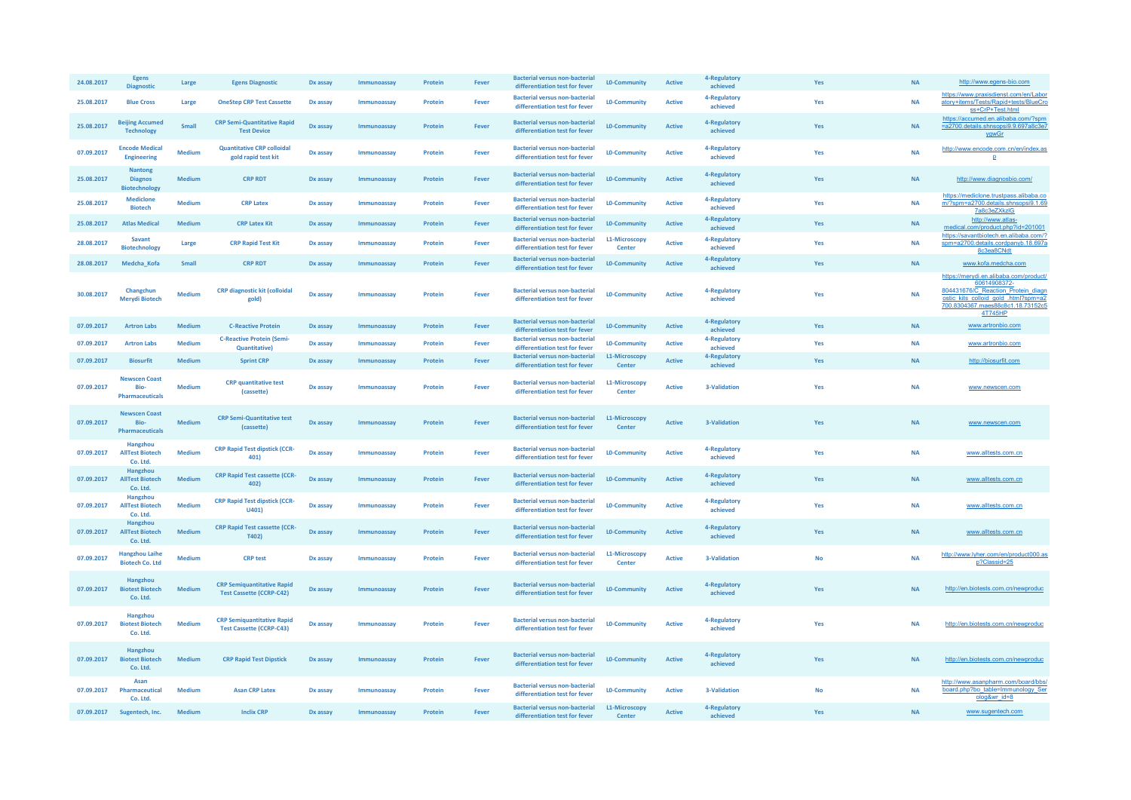| 24.08.2017 | Egens<br><b>Diagnostic</b>                               | Large         | <b>Egens Diagnostic</b>                                              | Dx assay | Immunoassay | Protein | Fever | Bacterial versus non-bacteria<br>differentiation test for fever         | <b>LO-Community</b>     | <b>Active</b> | 4-Regulator<br>achieved  | Yes       | <b>NA</b> | http://www.egens-bio.com                                                                                                                                                             |
|------------|----------------------------------------------------------|---------------|----------------------------------------------------------------------|----------|-------------|---------|-------|-------------------------------------------------------------------------|-------------------------|---------------|--------------------------|-----------|-----------|--------------------------------------------------------------------------------------------------------------------------------------------------------------------------------------|
| 25.08.2017 | <b>Blue Cross</b>                                        | Large         | <b>OneStep CRP Test Cassette</b>                                     | Dx assay | Immunoassay | Protein | Fever | <b>Bacterial versus non-bacterial</b><br>differentiation test for fever | <b>LO-Community</b>     | <b>Active</b> | 4-Regulatory<br>achieved | Yes       | <b>NA</b> | https://www.praxisdienst.com/en/Labor<br>atory+items/Tests/Rapid+tests/BlueCro<br>ss+CrP+Test.html                                                                                   |
| 25.08.2017 | <b>Beijing Accumed</b><br><b>Technology</b>              | Small         | <b>CRP Semi-Quantitative Rapid</b><br><b>Test Device</b>             | Dx assay | Immunoassay | Protein | Fever | <b>Bacterial versus non-bacterial</b><br>differentiation test for fever | <b>LO-Community</b>     | <b>Active</b> | 4-Regulatory<br>achieved | Yes       | <b>NA</b> | https://accumed.en.alibaba.com/?spm<br>=a2700.details.shnsopsi9.9.697a8c3e7<br>vawGr                                                                                                 |
| 07.09.2017 | <b>Encode Medical</b><br><b>Engineering</b>              | <b>Medium</b> | <b>Quantitative CRP colloidal</b><br>gold rapid test kit             | Dx assay | Immunoassay | Protein | Fever | <b>Bacterial versus non-bacterial</b><br>differentiation test for fever | <b>LO-Community</b>     | <b>Active</b> | 4-Regulatory<br>achieved | Yes       | <b>NA</b> | http://www.encode.com.cn/en/index.as<br>p                                                                                                                                            |
| 25.08.2017 | <b>Nantong</b><br><b>Diagnos</b><br><b>Biotechnology</b> | <b>Medium</b> | <b>CRP RDT</b>                                                       | Dx assay | Immunoassay | Protein | Fever | <b>Bacterial versus non-bacterial</b><br>differentiation test for fever | <b>LO-Community</b>     | <b>Active</b> | 4-Regulatory<br>achieved | Yes       | <b>NA</b> | http://www.diagnosbio.com/                                                                                                                                                           |
| 25.08.2017 | Mediclone<br><b>Biotech</b>                              | Medium        | <b>CRP Latex</b>                                                     | Dx assay | Immunoassay | Protein | Fever | <b>Bacterial versus non-bacterial</b><br>differentiation test for fever | <b>LO-Community</b>     | <b>Active</b> | 4-Regulatory<br>achieved | Yes       | <b>NA</b> | https://mediclone.trustpass.alibaba.co<br>m/?spm=a2700.details.shnsopsi9.1.69<br>7a8c3eZXkzIG                                                                                        |
| 25.08.2017 | <b>Atlas Medical</b>                                     | <b>Medium</b> | <b>CRP Latex Kit</b>                                                 | Dx assay | Immunoassay | Protein | Fever | <b>Bacterial versus non-bacterial</b><br>differentiation test for fever | <b>LO-Community</b>     | <b>Active</b> | 4-Regulatory<br>achieved | Yes       | <b>NA</b> | http://www.atlas-<br>medical.com/product.php?id=201001                                                                                                                               |
| 28.08.2017 | <b>Savant</b><br><b>Biotechnology</b>                    | Large         | <b>CRP Rapid Test Kit</b>                                            | Dx assay | Immunoassay | Protein | Fever | <b>Bacterial versus non-bacterial</b><br>differentiation test for fever | L1-Microscopy<br>Center | <b>Active</b> | 4-Regulatory<br>achieved | Yes       | <b>NA</b> | https://savantbiotech.en.alibaba.com/?<br>spm=a2700.details.cordpanyb.18.697a<br>8c3ea8CNdt                                                                                          |
| 28.08.2017 | Medcha Kofa                                              | Small         | <b>CRP RDT</b>                                                       | Dx assay | Immunoassay | Protein | Fever | <b>Bacterial versus non-bacterial</b><br>differentiation test for fever | <b>LO-Community</b>     | <b>Active</b> | 4-Regulatory<br>achieved | Yes       | <b>NA</b> | www.kofa.medcha.com                                                                                                                                                                  |
| 30.08.2017 | Changchun<br><b>Mervdi Biotech</b>                       | <b>Medium</b> | <b>CRP</b> diagnostic kit (colloidal<br>gold)                        | Dx assay | Immunoassay | Protein | Fever | <b>Bacterial versus non-bacterial</b><br>differentiation test for fever | <b>LO-Community</b>     | <b>Active</b> | 4-Regulatory<br>achieved | Yes       | <b>NA</b> | https://merydi.en.alibaba.com/product/<br>60614908372-<br>804431676/C Reaction Protein diagn<br>ostic kits colloid gold .html?spm=a2<br>700.8304367.maes88c8c1.18.73152c5<br>4T745HP |
| 07.09.2017 | <b>Artron Labs</b>                                       | <b>Medium</b> | <b>C-Reactive Protein</b>                                            | Dx assay | Immunoassay | Protein | Fever | <b>Bacterial versus non-bacterial</b><br>differentiation test for fever | <b>LO-Community</b>     | <b>Active</b> | 4-Regulatory<br>achieved | Yes       | <b>NA</b> | www.artronbio.com                                                                                                                                                                    |
| 07.09.2017 | <b>Artron Labs</b>                                       | <b>Medium</b> | <b>C-Reactive Protein (Semi-</b><br><b>Quantitative)</b>             | Dx assay | Immunoassay | Protein | Fever | <b>Bacterial versus non-bacterial</b><br>differentiation test for fever | <b>LO-Community</b>     | <b>Active</b> | 4-Regulatory<br>achieved | Yes       | <b>NA</b> | www.artronbio.com                                                                                                                                                                    |
| 07.09.2017 | <b>Biosurfit</b>                                         | <b>Medium</b> | <b>Sprint CRP</b>                                                    | Dx assay | Immunoassay | Protein | Fever | Bacterial versus non-bacterial<br>differentiation test for fever        | L1-Microscopy<br>Center | <b>Active</b> | 4-Regulatory<br>achieved | Yes       | <b>NA</b> | http://biosurfit.com                                                                                                                                                                 |
| 07.09.2017 | <b>Newscen Coast</b><br>Rio-<br><b>Pharmaceuticals</b>   | Medium        | <b>CRP</b> quantitative test<br>(cassette)                           | Dx assay | Immunoassay | Protein | Fever | <b>Bacterial versus non-bacterial</b><br>differentiation test for fever | L1-Microscopy<br>Center | <b>Active</b> | 3-Validation             | Yes       | <b>NA</b> | www.newscen.com                                                                                                                                                                      |
| 07.09.2017 | <b>Newscen Coast</b><br>Bio-<br><b>Pharmaceuticals</b>   | <b>Medium</b> | <b>CRP Semi-Quantitative test</b><br>(cassette)                      | Dx assay | Immunoassay | Protein | Fever | <b>Bacterial versus non-bacterial</b><br>differentiation test for fever | L1-Microscopy<br>Center | <b>Active</b> | 3-Validation             | Yes       | <b>NA</b> | www.newscen.com                                                                                                                                                                      |
| 07.09.2017 | Hangzhou<br><b>AllTest Biotech</b><br>Co. Ltd.           | <b>Mediun</b> | <b>CRP Rapid Test dipstick (CCR-</b><br>401)                         | Dx assay | Immunoassay | Protein | Fever | <b>Bacterial versus non-bacterial</b><br>differentiation test for fever | <b>LO-Community</b>     | <b>Active</b> | 4-Regulatory<br>achieved | Yes       | <b>NA</b> | www.alltests.com.cn                                                                                                                                                                  |
| 07.09.2017 | Hangzhou<br><b>AllTest Biotech</b><br>Co. Ltd.           | Medium        | <b>CRP Rapid Test cassette (CCR-</b><br>402)                         | Dx assay | Immunoassay | Protein | Fever | <b>Bacterial versus non-bacterial</b><br>differentiation test for fever | <b>LO-Community</b>     | <b>Active</b> | 4-Regulatory<br>achieved | Yes       | <b>NA</b> | www.alltests.com.cn                                                                                                                                                                  |
| 07.09.2017 | Hangzhou<br><b>AllTest Biotech</b><br>Co. Ltd.           | <b>Medium</b> | <b>CRP Rapid Test dipstick (CCR-</b><br>U401                         | Dx assay | Immunoassay | Protein | Fever | <b>Bacterial versus non-bacterial</b><br>differentiation test for fever | <b>LO-Community</b>     | <b>Active</b> | 4-Regulatory<br>achieved | Yes       | <b>NA</b> | www.alltests.com.cn                                                                                                                                                                  |
| 07.09.2017 | Hangzhou<br><b>AllTest Biotech</b><br>Co. Ltd.           | Medium        | <b>CRP Rapid Test cassette (CCR-</b><br><b>T402)</b>                 | Dx assay | Immunoassay | Protein | Fever | <b>Bacterial versus non-bacterial</b><br>differentiation test for fever | <b>LO-Community</b>     | <b>Active</b> | 4-Regulatory<br>achieved | Yes       | <b>NA</b> | www.alltests.com.cn                                                                                                                                                                  |
| 07.09.2017 | <b>Hangzhou Laihe</b><br><b>Biotech Co. Ltd</b>          | Medium        | <b>CRP</b> test                                                      | Dx assay | Immunoassay | Protein | Fever | <b>Bacterial versus non-bacterial</b><br>differentiation test for fever | L1-Microscopy<br>Center | <b>Active</b> | 3-Validation             | <b>No</b> | <b>NA</b> | http://www.lyher.com/en/product000.as<br>p?Classid=25                                                                                                                                |
| 07.09.2017 | Hangzhou<br><b>Biotest Biotech</b><br>Co. Ltd.           | Medium        | <b>CRP Semiquantitative Rapid</b><br><b>Test Cassette (CCRP-C42)</b> | Dx assay | Immunoassay | Protein | Fever | <b>Bacterial versus non-bacterial</b><br>differentiation test for fever | <b>LO-Community</b>     | <b>Active</b> | 4-Regulatory<br>achieved | Yes       | <b>NA</b> | http://en.biotests.com.cn/newproduc                                                                                                                                                  |
| 07.09.2017 | Hangzhou<br><b>Biotest Biotech</b><br>Co. Ltd.           | <b>Medium</b> | <b>CRP Semiquantitative Rapid</b><br><b>Test Cassette (CCRP-C43)</b> | Dx assay | Immunoassay | Protein | Fever | <b>Bacterial versus non-bacterial</b><br>differentiation test for fever | <b>LO-Community</b>     | <b>Active</b> | 4-Regulatory<br>achieved | Yes       | <b>NA</b> | http://en.biotests.com.cn/newproduc                                                                                                                                                  |
| 07.09.2017 | Hangzhou<br><b>Biotest Biotech</b><br>Co. Ltd.           | <b>Medium</b> | <b>CRP Rapid Test Dipstick</b>                                       | Dx assay | Immunoassay | Protein | Fever | <b>Bacterial versus non-bacterial</b><br>differentiation test for fever | <b>LO-Community</b>     | <b>Active</b> | 4-Regulatory<br>achieved | Yes       | <b>NA</b> | http://en.biotests.com.cn/newproduc                                                                                                                                                  |
| 07.09.2017 | Asan<br>Pharmaceutical<br>Co. Ltd.                       | <b>Medium</b> | <b>Asan CRP Latex</b>                                                | Dx assay | Immunoassay | Protein | Fever | <b>Bacterial versus non-bacterial</b><br>differentiation test for fever | <b>LO-Community</b>     | <b>Active</b> | 3-Validation             | <b>No</b> | <b>NA</b> | http://www.asanpharm.com/board/bbs/<br>board.php?bo_table=Immunology_Ser<br>olog≀_id=8                                                                                               |
|            | 07.09.2017 Sugentech, Inc.                               | Medium        | <b>Inclix CRP</b>                                                    | Dx assay | Immunoassay | Protein | Fever | <b>Bacterial versus non-bacterial</b><br>differentiation test for fever | L1-Microscopy<br>Center | <b>Active</b> | 4-Regulatory<br>achieved | Yes       | <b>NA</b> | www.sugentech.com                                                                                                                                                                    |